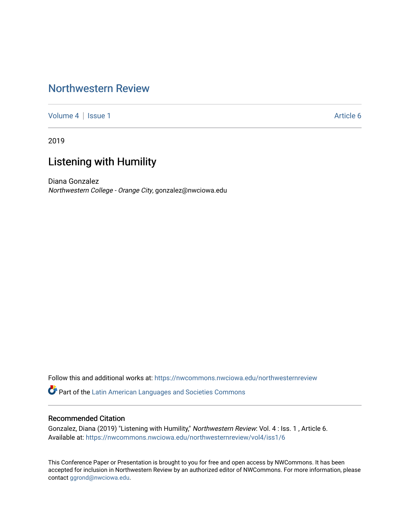# [Northwestern Review](https://nwcommons.nwciowa.edu/northwesternreview)

[Volume 4](https://nwcommons.nwciowa.edu/northwesternreview/vol4) | [Issue 1](https://nwcommons.nwciowa.edu/northwesternreview/vol4/iss1) Article 6

2019

# Listening with Humility

Diana Gonzalez Northwestern College - Orange City, gonzalez@nwciowa.edu

Follow this and additional works at: [https://nwcommons.nwciowa.edu/northwesternreview](https://nwcommons.nwciowa.edu/northwesternreview?utm_source=nwcommons.nwciowa.edu%2Fnorthwesternreview%2Fvol4%2Fiss1%2F6&utm_medium=PDF&utm_campaign=PDFCoverPages) 

Part of the [Latin American Languages and Societies Commons](http://network.bepress.com/hgg/discipline/483?utm_source=nwcommons.nwciowa.edu%2Fnorthwesternreview%2Fvol4%2Fiss1%2F6&utm_medium=PDF&utm_campaign=PDFCoverPages) 

# Recommended Citation

Gonzalez, Diana (2019) "Listening with Humility," Northwestern Review: Vol. 4: Iss. 1, Article 6. Available at: [https://nwcommons.nwciowa.edu/northwesternreview/vol4/iss1/6](https://nwcommons.nwciowa.edu/northwesternreview/vol4/iss1/6?utm_source=nwcommons.nwciowa.edu%2Fnorthwesternreview%2Fvol4%2Fiss1%2F6&utm_medium=PDF&utm_campaign=PDFCoverPages)

This Conference Paper or Presentation is brought to you for free and open access by NWCommons. It has been accepted for inclusion in Northwestern Review by an authorized editor of NWCommons. For more information, please contact [ggrond@nwciowa.edu](mailto:ggrond@nwciowa.edu).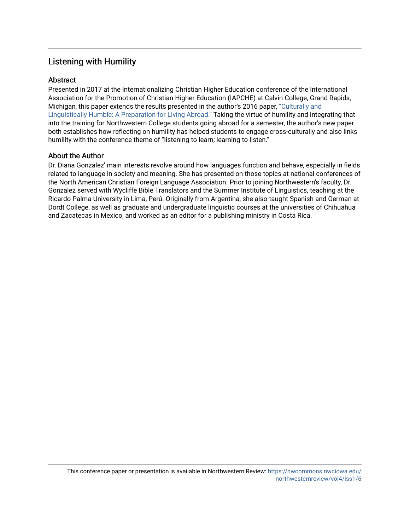# Listening with Humility

# **Abstract**

Presented in 2017 at the Internationalizing Christian Higher Education conference of the International Association for the Promotion of Christian Higher Education (IAPCHE) at Calvin College, Grand Rapids, Michigan, this paper extends the results presented in the author's 2016 paper, ["Culturally and](https://nwcommons.nwciowa.edu/northwesternreview/vol2/iss1/9/)  [Linguistically Humble: A Preparation for Living Abroad."](https://nwcommons.nwciowa.edu/northwesternreview/vol2/iss1/9/) Taking the virtue of humility and integrating that into the training for Northwestern College students going abroad for a semester, the author's new paper both establishes how reflecting on humility has helped students to engage cross-culturally and also links humility with the conference theme of "listening to learn; learning to listen."

# About the Author

Dr. Diana Gonzalez' main interests revolve around how languages function and behave, especially in fields related to language in society and meaning. She has presented on those topics at national conferences of the North American Christian Foreign Language Association. Prior to joining Northwestern's faculty, Dr. Gonzalez served with Wycliffe Bible Translators and the Summer Institute of Linguistics, teaching at the Ricardo Palma University in Lima, Perú. Originally from Argentina, she also taught Spanish and German at Dordt College, as well as graduate and undergraduate linguistic courses at the universities of Chihuahua and Zacatecas in Mexico, and worked as an editor for a publishing ministry in Costa Rica.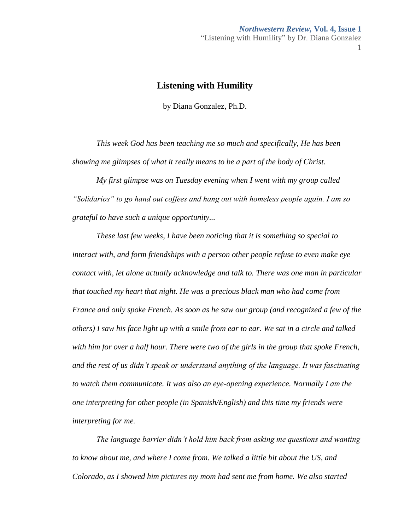# **Listening with Humility**

by Diana Gonzalez, Ph.D.

*This week God has been teaching me so much and specifically, He has been showing me glimpses of what it really means to be a part of the body of Christ.*

*My first glimpse was on Tuesday evening when I went with my group called "Solidarios" to go hand out coffees and hang out with homeless people again. I am so grateful to have such a unique opportunity...*

*These last few weeks, I have been noticing that it is something so special to interact with, and form friendships with a person other people refuse to even make eye contact with, let alone actually acknowledge and talk to. There was one man in particular that touched my heart that night. He was a precious black man who had come from France and only spoke French. As soon as he saw our group (and recognized a few of the others) I saw his face light up with a smile from ear to ear. We sat in a circle and talked with him for over a half hour. There were two of the girls in the group that spoke French, and the rest of us didn't speak or understand anything of the language. It was fascinating to watch them communicate. It was also an eye-opening experience. Normally I am the one interpreting for other people (in Spanish/English) and this time my friends were interpreting for me.* 

*The language barrier didn't hold him back from asking me questions and wanting to know about me, and where I come from. We talked a little bit about the US, and Colorado, as I showed him pictures my mom had sent me from home. We also started*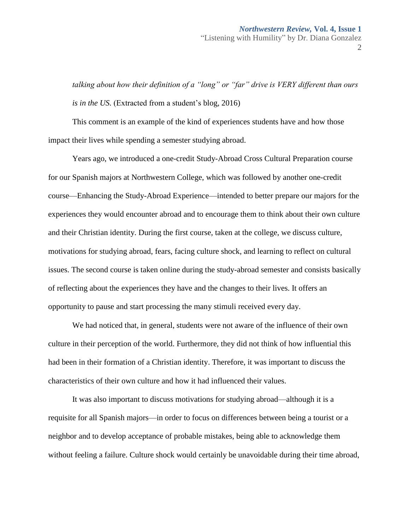*talking about how their definition of a "long" or "far" drive is VERY different than ours is in the US.* (Extracted from a student's blog, 2016)

This comment is an example of the kind of experiences students have and how those impact their lives while spending a semester studying abroad.

Years ago, we introduced a one-credit Study-Abroad Cross Cultural Preparation course for our Spanish majors at Northwestern College, which was followed by another one-credit course—Enhancing the Study-Abroad Experience—intended to better prepare our majors for the experiences they would encounter abroad and to encourage them to think about their own culture and their Christian identity. During the first course, taken at the college, we discuss culture, motivations for studying abroad, fears, facing culture shock, and learning to reflect on cultural issues. The second course is taken online during the study-abroad semester and consists basically of reflecting about the experiences they have and the changes to their lives. It offers an opportunity to pause and start processing the many stimuli received every day.

We had noticed that, in general, students were not aware of the influence of their own culture in their perception of the world. Furthermore, they did not think of how influential this had been in their formation of a Christian identity. Therefore, it was important to discuss the characteristics of their own culture and how it had influenced their values.

It was also important to discuss motivations for studying abroad—although it is a requisite for all Spanish majors—in order to focus on differences between being a tourist or a neighbor and to develop acceptance of probable mistakes, being able to acknowledge them without feeling a failure. Culture shock would certainly be unavoidable during their time abroad,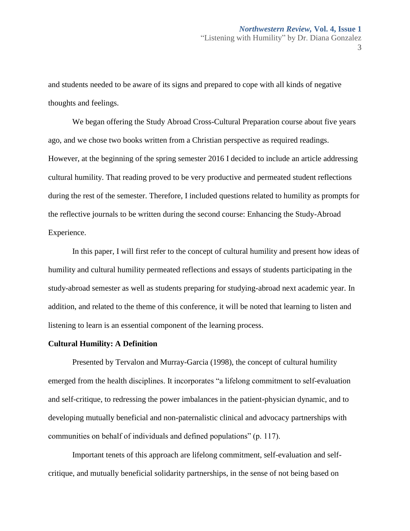and students needed to be aware of its signs and prepared to cope with all kinds of negative thoughts and feelings.

We began offering the Study Abroad Cross-Cultural Preparation course about five years ago, and we chose two books written from a Christian perspective as required readings. However, at the beginning of the spring semester 2016 I decided to include an article addressing cultural humility. That reading proved to be very productive and permeated student reflections during the rest of the semester. Therefore, I included questions related to humility as prompts for the reflective journals to be written during the second course: Enhancing the Study-Abroad Experience.

In this paper, I will first refer to the concept of cultural humility and present how ideas of humility and cultural humility permeated reflections and essays of students participating in the study-abroad semester as well as students preparing for studying-abroad next academic year. In addition, and related to the theme of this conference, it will be noted that learning to listen and listening to learn is an essential component of the learning process.

#### **Cultural Humility: A Definition**

Presented by Tervalon and Murray-Garcia (1998), the concept of cultural humility emerged from the health disciplines. It incorporates "a lifelong commitment to self-evaluation and self-critique, to redressing the power imbalances in the patient-physician dynamic, and to developing mutually beneficial and non-paternalistic clinical and advocacy partnerships with communities on behalf of individuals and defined populations" (p. 117).

Important tenets of this approach are lifelong commitment, self-evaluation and selfcritique, and mutually beneficial solidarity partnerships, in the sense of not being based on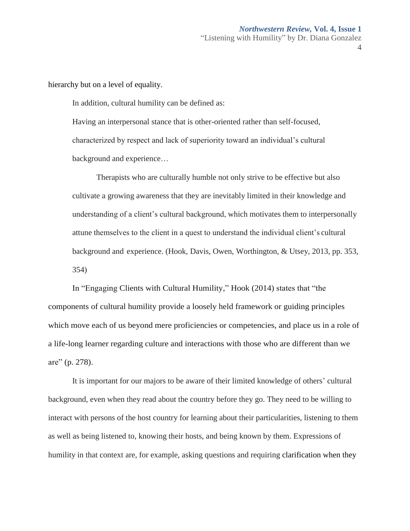hierarchy but on a level of equality.

In addition, cultural humility can be defined as:

Having an interpersonal stance that is other-oriented rather than self-focused, characterized by respect and lack of superiority toward an individual's cultural background and experience…

Therapists who are culturally humble not only strive to be effective but also cultivate a growing awareness that they are inevitably limited in their knowledge and understanding of a client's cultural background, which motivates them to interpersonally attune themselves to the client in a quest to understand the individual client's cultural background and experience. (Hook, Davis, Owen, Worthington, & Utsey, 2013, pp. 353, 354)

In "Engaging Clients with Cultural Humility," Hook (2014) states that "the components of cultural humility provide a loosely held framework or guiding principles which move each of us beyond mere proficiencies or competencies, and place us in a role of a life-long learner regarding culture and interactions with those who are different than we are" (p. 278).

It is important for our majors to be aware of their limited knowledge of others' cultural background, even when they read about the country before they go. They need to be willing to interact with persons of the host country for learning about their particularities, listening to them as well as being listened to, knowing their hosts, and being known by them. Expressions of humility in that context are, for example, asking questions and requiring clarification when they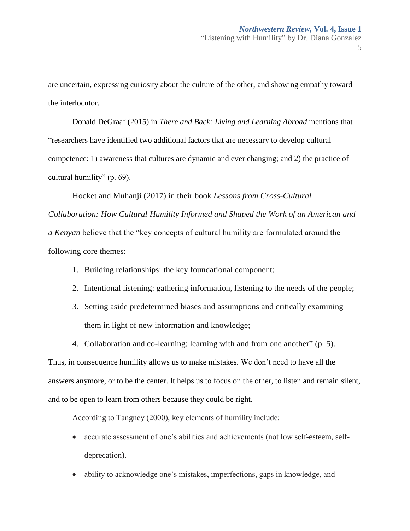are uncertain, expressing curiosity about the culture of the other, and showing empathy toward the interlocutor.

Donald DeGraaf (2015) in *There and Back: Living and Learning Abroad* mentions that "researchers have identified two additional factors that are necessary to develop cultural competence: 1) awareness that cultures are dynamic and ever changing; and 2) the practice of cultural humility" (p. 69).

Hocket and Muhanji (2017) in their book *Lessons from Cross-Cultural Collaboration: How Cultural Humility Informed and Shaped the Work of an American and a Kenyan* believe that the "key concepts of cultural humility are formulated around the following core themes:

- 1. Building relationships: the key foundational component;
- 2. Intentional listening: gathering information, listening to the needs of the people;
- 3. Setting aside predetermined biases and assumptions and critically examining them in light of new information and knowledge;
- 4. Collaboration and co-learning; learning with and from one another" (p. 5).

Thus, in consequence humility allows us to make mistakes. We don't need to have all the answers anymore, or to be the center. It helps us to focus on the other, to listen and remain silent, and to be open to learn from others because they could be right.

According to Tangney (2000), key elements of humility include:

- accurate assessment of one's abilities and achievements (not low self-esteem, selfdeprecation).
- ability to acknowledge one's mistakes, imperfections, gaps in knowledge, and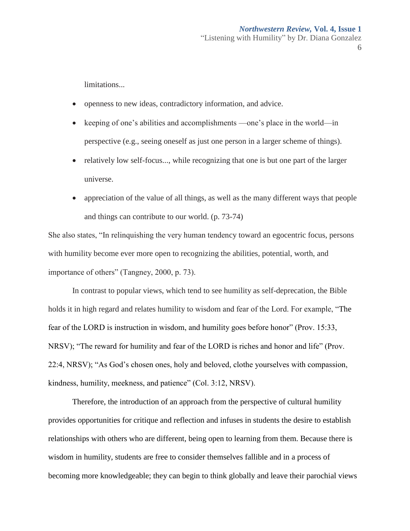limitations...

- openness to new ideas, contradictory information, and advice.
- keeping of one's abilities and accomplishments —one's place in the world—in perspective (e.g., seeing oneself as just one person in a larger scheme of things).
- relatively low self-focus..., while recognizing that one is but one part of the larger universe.
- appreciation of the value of all things, as well as the many different ways that people and things can contribute to our world. (p. 73-74)

She also states, "In relinquishing the very human tendency toward an egocentric focus, persons with humility become ever more open to recognizing the abilities, potential, worth, and importance of others" (Tangney, 2000, p. 73).

In contrast to popular views, which tend to see humility as self-deprecation, the Bible holds it in high regard and relates humility to wisdom and fear of the Lord. For example, "The fear of the LORD is instruction in wisdom, and humility goes before honor" (Prov. 15:33, NRSV); "The reward for humility and fear of the LORD is riches and honor and life" (Prov. 22:4, NRSV); "As God's chosen ones, holy and beloved, clothe yourselves with compassion, kindness, humility, meekness, and patience" (Col. 3:12, NRSV).

Therefore, the introduction of an approach from the perspective of cultural humility provides opportunities for critique and reflection and infuses in students the desire to establish relationships with others who are different, being open to learning from them. Because there is wisdom in humility, students are free to consider themselves fallible and in a process of becoming more knowledgeable; they can begin to think globally and leave their parochial views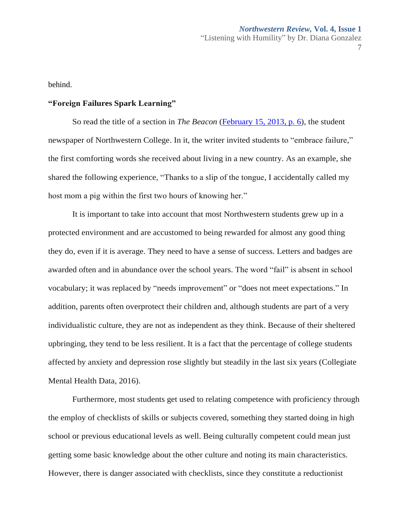behind.

# **"Foreign Failures Spark Learning"**

So read the title of a section in *The Beacon* [\(February 15, 2013, p. 6\)](https://nwcommons.nwciowa.edu/cgi/viewcontent.cgi?article=1007&context=beacon2012), the student newspaper of Northwestern College. In it, the writer invited students to "embrace failure," the first comforting words she received about living in a new country. As an example, she shared the following experience, "Thanks to a slip of the tongue, I accidentally called my host mom a pig within the first two hours of knowing her."

It is important to take into account that most Northwestern students grew up in a protected environment and are accustomed to being rewarded for almost any good thing they do, even if it is average. They need to have a sense of success. Letters and badges are awarded often and in abundance over the school years. The word "fail" is absent in school vocabulary; it was replaced by "needs improvement" or "does not meet expectations." In addition, parents often overprotect their children and, although students are part of a very individualistic culture, they are not as independent as they think. Because of their sheltered upbringing, they tend to be less resilient. It is a fact that the percentage of college students affected by anxiety and depression rose slightly but steadily in the last six years (Collegiate Mental Health Data, 2016).

Furthermore, most students get used to relating competence with proficiency through the employ of checklists of skills or subjects covered, something they started doing in high school or previous educational levels as well. Being culturally competent could mean just getting some basic knowledge about the other culture and noting its main characteristics. However, there is danger associated with checklists, since they constitute a reductionist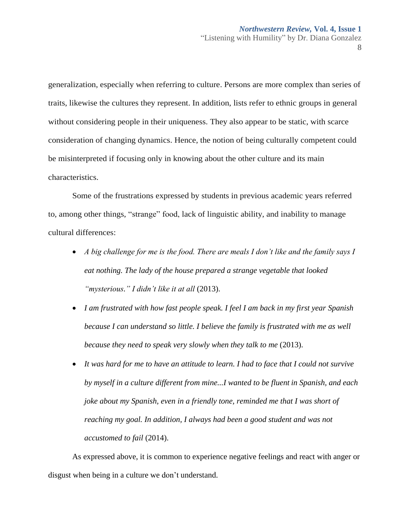generalization, especially when referring to culture. Persons are more complex than series of traits, likewise the cultures they represent. In addition, lists refer to ethnic groups in general without considering people in their uniqueness. They also appear to be static, with scarce consideration of changing dynamics. Hence, the notion of being culturally competent could be misinterpreted if focusing only in knowing about the other culture and its main characteristics.

Some of the frustrations expressed by students in previous academic years referred to, among other things, "strange" food, lack of linguistic ability, and inability to manage cultural differences:

- *A big challenge for me is the food. There are meals I don't like and the family says I eat nothing. The lady of the house prepared a strange vegetable that looked "mysterious." I didn't like it at all* (2013).
- *I am frustrated with how fast people speak. I feel I am back in my first year Spanish because I can understand so little. I believe the family is frustrated with me as well because they need to speak very slowly when they talk to me* (2013).
- *It was hard for me to have an attitude to learn. I had to face that I could not survive by myself in a culture different from mine...I wanted to be fluent in Spanish, and each joke about my Spanish, even in a friendly tone, reminded me that I was short of reaching my goal. In addition, I always had been a good student and was not accustomed to fail* (2014).

As expressed above, it is common to experience negative feelings and react with anger or disgust when being in a culture we don't understand.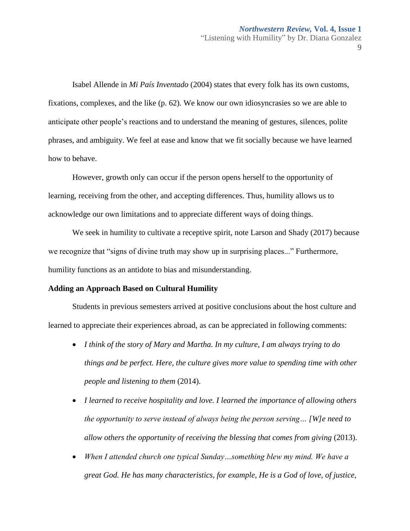Isabel Allende in *Mi País Inventado* (2004) states that every folk has its own customs, fixations, complexes, and the like (p. 62). We know our own idiosyncrasies so we are able to anticipate other people's reactions and to understand the meaning of gestures, silences, polite phrases, and ambiguity. We feel at ease and know that we fit socially because we have learned how to behave.

However, growth only can occur if the person opens herself to the opportunity of learning, receiving from the other, and accepting differences. Thus, humility allows us to acknowledge our own limitations and to appreciate different ways of doing things.

We seek in humility to cultivate a receptive spirit, note Larson and Shady (2017) because we recognize that "signs of divine truth may show up in surprising places..." Furthermore, humility functions as an antidote to bias and misunderstanding.

# **Adding an Approach Based on Cultural Humility**

Students in previous semesters arrived at positive conclusions about the host culture and learned to appreciate their experiences abroad, as can be appreciated in following comments:

- *I think of the story of Mary and Martha. In my culture, I am always trying to do things and be perfect. Here, the culture gives more value to spending time with other people and listening to them* (2014).
- *I learned to receive hospitality and love. I learned the importance of allowing others the opportunity to serve instead of always being the person serving… [W]e need to allow others the opportunity of receiving the blessing that comes from giving* (2013).
- *When I attended church one typical Sunday…something blew my mind. We have a great God. He has many characteristics, for example, He is a God of love, of justice,*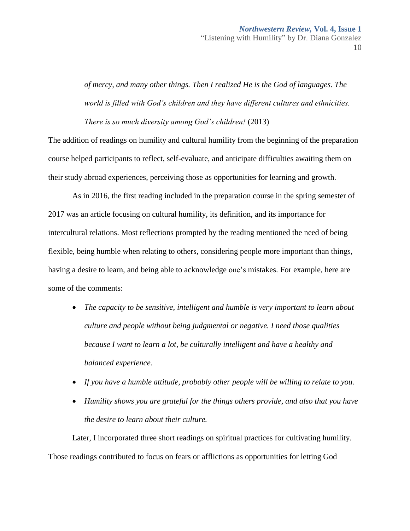*of mercy, and many other things. Then I realized He is the God of languages. The world is filled with God's children and they have different cultures and ethnicities.* 

*There is so much diversity among God's children!* (2013)

The addition of readings on humility and cultural humility from the beginning of the preparation course helped participants to reflect, self-evaluate, and anticipate difficulties awaiting them on their study abroad experiences, perceiving those as opportunities for learning and growth.

As in 2016, the first reading included in the preparation course in the spring semester of 2017 was an article focusing on cultural humility, its definition, and its importance for intercultural relations. Most reflections prompted by the reading mentioned the need of being flexible, being humble when relating to others, considering people more important than things, having a desire to learn, and being able to acknowledge one's mistakes. For example, here are some of the comments:

- *The capacity to be sensitive, intelligent and humble is very important to learn about culture and people without being judgmental or negative. I need those qualities because I want to learn a lot, be culturally intelligent and have a healthy and balanced experience.*
- *If you have a humble attitude, probably other people will be willing to relate to you.*
- *Humility shows you are grateful for the things others provide, and also that you have the desire to learn about their culture.*

Later, I incorporated three short readings on spiritual practices for cultivating humility. Those readings contributed to focus on fears or afflictions as opportunities for letting God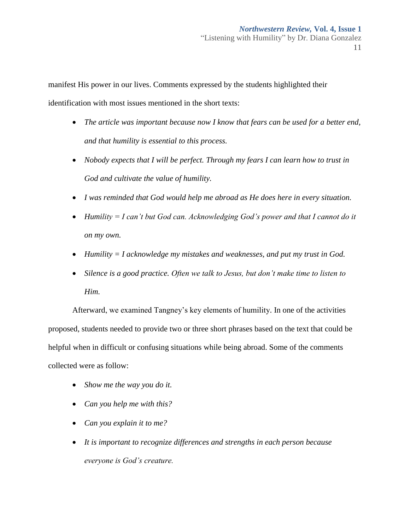manifest His power in our lives. Comments expressed by the students highlighted their identification with most issues mentioned in the short texts:

- *The article was important because now I know that fears can be used for a better end, and that humility is essential to this process.*
- *Nobody expects that I will be perfect. Through my fears I can learn how to trust in God and cultivate the value of humility.*
- *I was reminded that God would help me abroad as He does here in every situation.*
- *Humility = I can't but God can. Acknowledging God's power and that I cannot do it on my own.*
- *Humility = I acknowledge my mistakes and weaknesses, and put my trust in God.*
- Silence is a good practice. Often we talk to Jesus, but don't make time to listen to *Him.*

Afterward, we examined Tangney's key elements of humility. In one of the activities proposed, students needed to provide two or three short phrases based on the text that could be helpful when in difficult or confusing situations while being abroad. Some of the comments collected were as follow:

- *Show me the way you do it.*
- *Can you help me with this?*
- *Can you explain it to me?*
- *It is important to recognize differences and strengths in each person because everyone is God's creature.*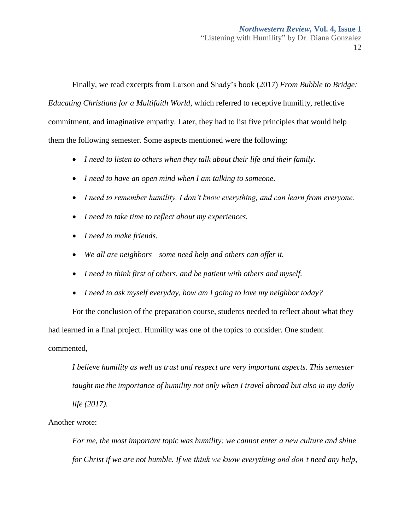Finally, we read excerpts from Larson and Shady's book (2017) *From Bubble to Bridge: Educating Christians for a Multifaith World*, which referred to receptive humility, reflective commitment, and imaginative empathy. Later, they had to list five principles that would help them the following semester. Some aspects mentioned were the following:

- *I need to listen to others when they talk about their life and their family.*
- *I need to have an open mind when I am talking to someone.*
- *I need to remember humility. I don't know everything, and can learn from everyone.*
- *I need to take time to reflect about my experiences.*
- *I need to make friends.*
- *We all are neighbors—some need help and others can offer it.*
- *I need to think first of others, and be patient with others and myself.*
- *I need to ask myself everyday, how am I going to love my neighbor today?*

For the conclusion of the preparation course, students needed to reflect about what they had learned in a final project. Humility was one of the topics to consider. One student commented,

*I believe humility as well as trust and respect are very important aspects. This semester taught me the importance of humility not only when I travel abroad but also in my daily life (2017).* 

Another wrote:

*For me, the most important topic was humility: we cannot enter a new culture and shine for Christ if we are not humble. If we think we know everything and don't need any help,*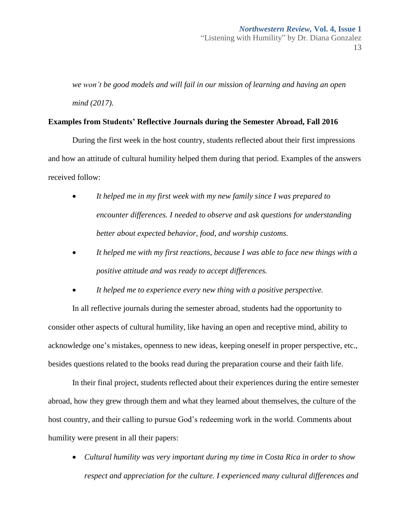*we won't be good models and will fail in our mission of learning and having an open mind (2017).* 

# **Examples from Students' Reflective Journals during the Semester Abroad, Fall 2016**

During the first week in the host country, students reflected about their first impressions and how an attitude of cultural humility helped them during that period. Examples of the answers received follow:

- *It helped me in my first week with my new family since I was prepared to encounter differences. I needed to observe and ask questions for understanding better about expected behavior, food, and worship customs.*
- *It helped me with my first reactions, because I was able to face new things with a positive attitude and was ready to accept differences.*
- *It helped me to experience every new thing with a positive perspective.*

In all reflective journals during the semester abroad, students had the opportunity to consider other aspects of cultural humility, like having an open and receptive mind, ability to acknowledge one's mistakes, openness to new ideas, keeping oneself in proper perspective, etc., besides questions related to the books read during the preparation course and their faith life.

In their final project, students reflected about their experiences during the entire semester abroad, how they grew through them and what they learned about themselves, the culture of the host country, and their calling to pursue God's redeeming work in the world. Comments about humility were present in all their papers:

 *Cultural humility was very important during my time in Costa Rica in order to show respect and appreciation for the culture. I experienced many cultural differences and*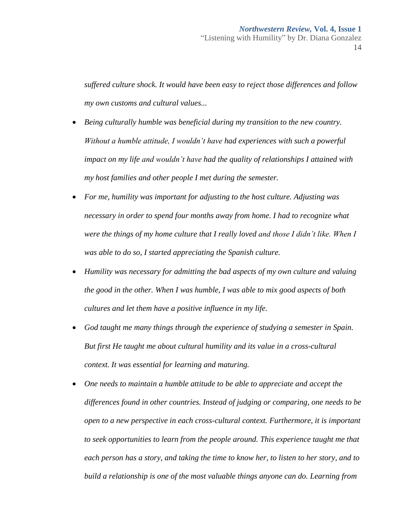*suffered culture shock. It would have been easy to reject those differences and follow my own customs and cultural values...*

- *Being culturally humble was beneficial during my transition to the new country. Without a humble attitude, I wouldn't have had experiences with such a powerful impact on my life and wouldn't have had the quality of relationships I attained with my host families and other people I met during the semester.*
- *For me, humility was important for adjusting to the host culture. Adjusting was necessary in order to spend four months away from home. I had to recognize what were the things of my home culture that I really loved and those I didn't like. When I was able to do so, I started appreciating the Spanish culture.*
- *Humility was necessary for admitting the bad aspects of my own culture and valuing the good in the other. When I was humble, I was able to mix good aspects of both cultures and let them have a positive influence in my life.*
- *God taught me many things through the experience of studying a semester in Spain. But first He taught me about cultural humility and its value in a cross-cultural context. It was essential for learning and maturing.*
- *One needs to maintain a humble attitude to be able to appreciate and accept the differences found in other countries. Instead of judging or comparing, one needs to be open to a new perspective in each cross-cultural context. Furthermore, it is important to seek opportunities to learn from the people around. This experience taught me that each person has a story, and taking the time to know her, to listen to her story, and to build a relationship is one of the most valuable things anyone can do. Learning from*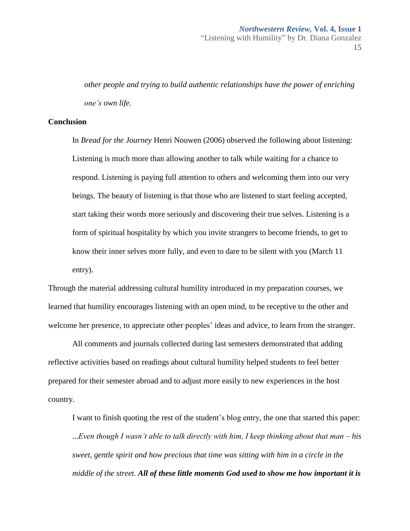*other people and trying to build authentic relationships have the power of enriching one's own life.* 

# **Conclusion**

In *Bread for the Journey* Henri Nouwen (2006) observed the following about listening: Listening is much more than allowing another to talk while waiting for a chance to respond. Listening is paying full attention to others and welcoming them into our very beings. The beauty of listening is that those who are listened to start feeling accepted, start taking their words more seriously and discovering their true selves. Listening is a form of spiritual hospitality by which you invite strangers to become friends, to get to know their inner selves more fully, and even to dare to be silent with you (March 11 entry).

Through the material addressing cultural humility introduced in my preparation courses, we learned that humility encourages listening with an open mind, to be receptive to the other and welcome her presence, to appreciate other peoples' ideas and advice, to learn from the stranger.

All comments and journals collected during last semesters demonstrated that adding reflective activities based on readings about cultural humility helped students to feel better prepared for their semester abroad and to adjust more easily to new experiences in the host country.

I want to finish quoting the rest of the student's blog entry, the one that started this paper: ...*Even though I wasn't able to talk directly with him, I keep thinking about that man – his sweet, gentle spirit and how precious that time was sitting with him in a circle in the middle of the street. All of these little moments God used to show me how important it is*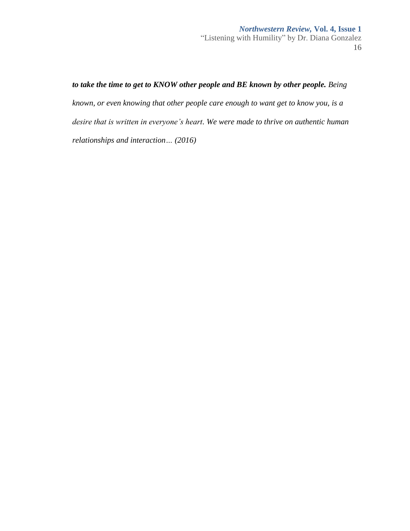*to take the time to get to KNOW other people and BE known by other people. Being known, or even knowing that other people care enough to want get to know you, is a desire that is written in everyone's heart. We were made to thrive on authentic human relationships and interaction… (2016)*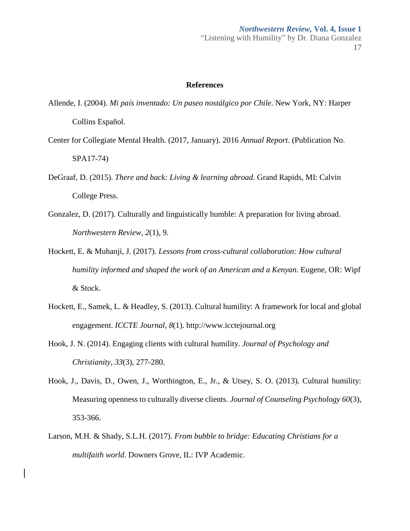## **References**

- Allende, I. (2004). *Mi país inventado: Un paseo nostálgico por Chile*. New York, NY: Harper Collins Español.
- Center for Collegiate Mental Health. (2017, January). 2016 *Annual Report*. (Publication No. SPA17-74)
- DeGraaf, D. (2015). *There and back: Living & learning abroad*. Grand Rapids, MI: Calvin College Press.
- Gonzalez, D. (2017). Culturally and linguistically humble: A preparation for living abroad. *Northwestern Review*, *2*(1), 9.
- Hockett, E. & Muhanji, J. (2017). *Lessons from cross-cultural collaboration: How cultural humility informed and shaped the work of an American and a Kenyan*. Eugene, OR: Wipf & Stock.
- Hockett, E., Samek, L. & Headley, S. (2013). Cultural humility: A framework for local and global engagement. *ICCTE Journal*, *8*(1[\). http://www.icctejournal.org](http://www.icctejournal.org/)
- Hook, J. N. (2014). Engaging clients with cultural humility. *Journal of Psychology and Christianity, 33*(3), 277-280.
- Hook, J., Davis, D., Owen, J., Worthington, E., Jr., & Utsey, S. O. (2013). Cultural humility: Measuring openness to culturally diverse clients. *Journal of Counseling Psychology 60*(3), 353-366.
- Larson, M.H. & Shady, S.L.H. (2017). *From bubble to bridge: Educating Christians for a multifaith world*. Downers Grove, IL: IVP Academic.